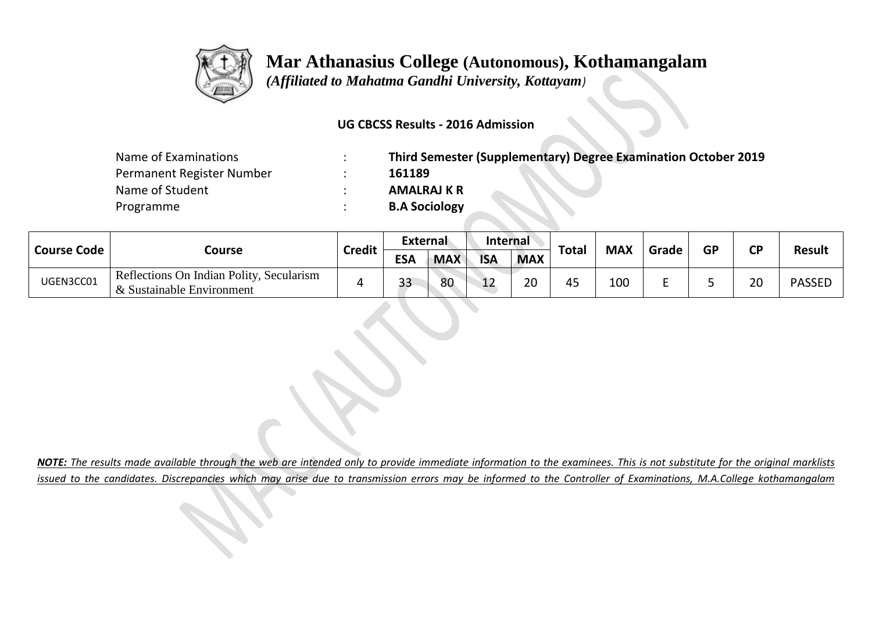

 *(Affiliated to Mahatma Gandhi University, Kottayam)*

#### **UG CBCSS Results - 2016 Admission**

| Name of Examinations      | $\bullet$ | Third Semester (Supplementary) Degree Examination October 2019 |
|---------------------------|-----------|----------------------------------------------------------------|
| Permanent Register Number |           | 161189                                                         |
| Name of Student           |           | <b>AMALRAJ K R</b>                                             |
| Programme                 |           | <b>B.A Sociology</b>                                           |

|                    |                                                                     |               | <b>External</b> |            | <b>Internal</b> |            |              |            |       |           | $\mathsf{CD}$ |               |
|--------------------|---------------------------------------------------------------------|---------------|-----------------|------------|-----------------|------------|--------------|------------|-------|-----------|---------------|---------------|
| <b>Course Code</b> | Course                                                              | <b>Credit</b> | <b>ESA</b>      | <b>MAX</b> | <b>ISA</b>      | <b>MAX</b> | <b>Total</b> | <b>MAX</b> | Grade | <b>GP</b> |               | <b>Result</b> |
| UGEN3CC01          | Reflections On Indian Polity, Secularism<br>Sustainable Environment |               | 33              | 80         | າ າ<br>ᅩ        | 20         | 45           | 100        | -     |           | 20            | <b>PASSED</b> |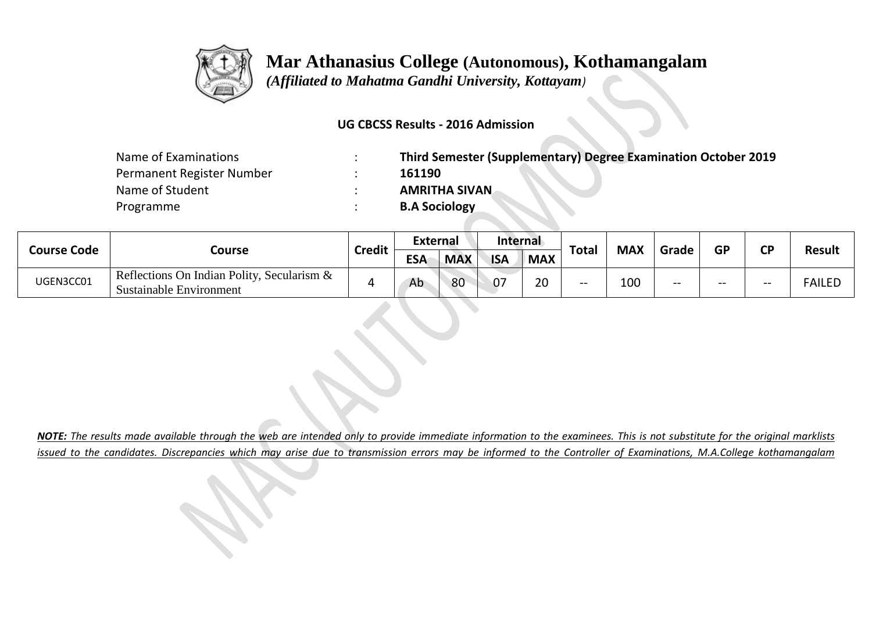

 *(Affiliated to Mahatma Gandhi University, Kottayam)*

#### **UG CBCSS Results - 2016 Admission**

| Name of Examinations      | Third Semester (Supplementary) Degree Examination October 2019 |
|---------------------------|----------------------------------------------------------------|
| Permanent Register Number | 161190                                                         |
| Name of Student           | <b>AMRITHA SIVAN</b>                                           |
| Programme                 | <b>B.A Sociology</b>                                           |

| <b>Course Code</b> |                                                                              |               | External   |            | Internal   |                    |              |            | GP    |       | <b>CD</b> |               |
|--------------------|------------------------------------------------------------------------------|---------------|------------|------------|------------|--------------------|--------------|------------|-------|-------|-----------|---------------|
|                    | Course                                                                       | <b>Credit</b> | <b>ESA</b> | <b>MAX</b> | <b>ISA</b> | <b>MAX</b>         | <b>Total</b> | <b>MAX</b> | Grade |       |           | <b>Result</b> |
| UGEN3CC01          | Reflections On Indian Polity, Secularism &<br><b>Sustainable Environment</b> |               | Ab         | 80         | 07         | $\mathbf{a}$<br>zu | $- -$        | 100        | $- -$ | $- -$ |           | <b>FAILED</b> |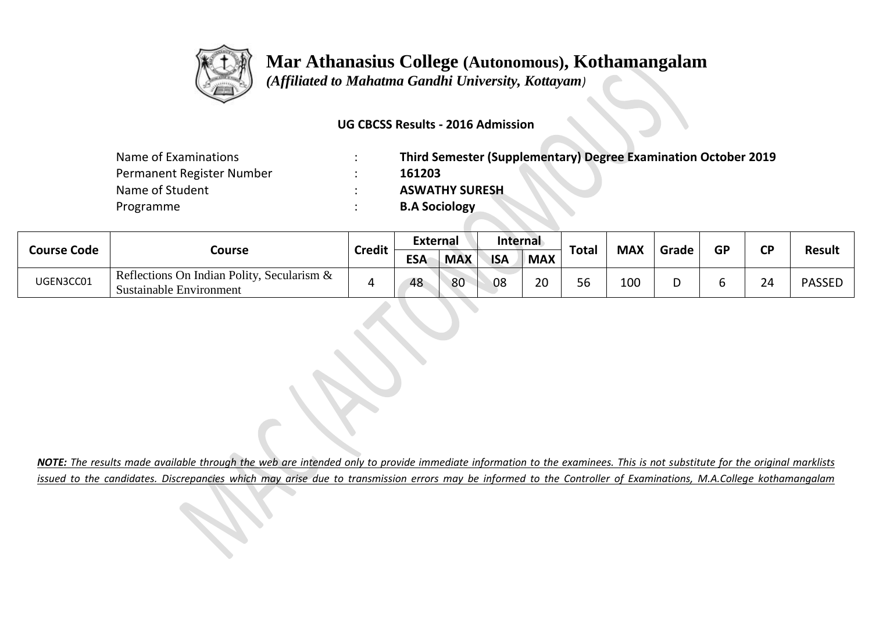

 *(Affiliated to Mahatma Gandhi University, Kottayam)*

### **UG CBCSS Results - 2016 Admission**

| Name of Examinations      | Third Semester (Supplementary) Degree Examination October 2019 |
|---------------------------|----------------------------------------------------------------|
| Permanent Register Number | 161203                                                         |
| Name of Student           | <b>ASWATHY SURESH</b>                                          |
| Programme                 | <b>B.A Sociology</b>                                           |

| <b>Course Code</b> |                                                                                 |               | External   |            | Internal   |            |              |            | GP    |  | <b>CD</b>    |               |
|--------------------|---------------------------------------------------------------------------------|---------------|------------|------------|------------|------------|--------------|------------|-------|--|--------------|---------------|
|                    | Course                                                                          | <b>Credit</b> | <b>ESA</b> | <b>MAX</b> | <b>ISA</b> | <b>MAX</b> | <b>Total</b> | <b>MAX</b> | Grade |  |              | <b>Result</b> |
| UGEN3CC01          | Reflections On Indian Polity, Secularism $\&$<br><b>Sustainable Environment</b> |               | 48         | 80         | 08         | 20         | 56           | 100        |       |  | $\sim$<br>∠∽ | <b>PASSEL</b> |